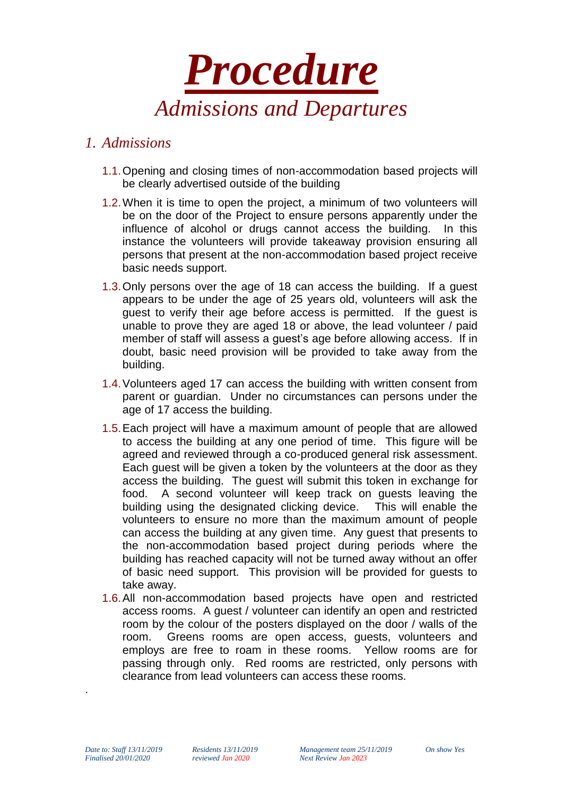

## *1. Admissions*

- 1.1.Opening and closing times of non-accommodation based projects will be clearly advertised outside of the building
- 1.2.When it is time to open the project, a minimum of two volunteers will be on the door of the Project to ensure persons apparently under the influence of alcohol or drugs cannot access the building. In this instance the volunteers will provide takeaway provision ensuring all persons that present at the non-accommodation based project receive basic needs support.
- 1.3.Only persons over the age of 18 can access the building. If a guest appears to be under the age of 25 years old, volunteers will ask the guest to verify their age before access is permitted. If the guest is unable to prove they are aged 18 or above, the lead volunteer / paid member of staff will assess a guest's age before allowing access. If in doubt, basic need provision will be provided to take away from the building.
- 1.4.Volunteers aged 17 can access the building with written consent from parent or guardian. Under no circumstances can persons under the age of 17 access the building.
- 1.5.Each project will have a maximum amount of people that are allowed to access the building at any one period of time. This figure will be agreed and reviewed through a co-produced general risk assessment. Each guest will be given a token by the volunteers at the door as they access the building. The guest will submit this token in exchange for food. A second volunteer will keep track on guests leaving the building using the designated clicking device. This will enable the volunteers to ensure no more than the maximum amount of people can access the building at any given time. Any guest that presents to the non-accommodation based project during periods where the building has reached capacity will not be turned away without an offer of basic need support. This provision will be provided for guests to take away.
- 1.6.All non-accommodation based projects have open and restricted access rooms. A guest / volunteer can identify an open and restricted room by the colour of the posters displayed on the door / walls of the room. Greens rooms are open access, guests, volunteers and employs are free to roam in these rooms. Yellow rooms are for passing through only. Red rooms are restricted, only persons with clearance from lead volunteers can access these rooms.

.